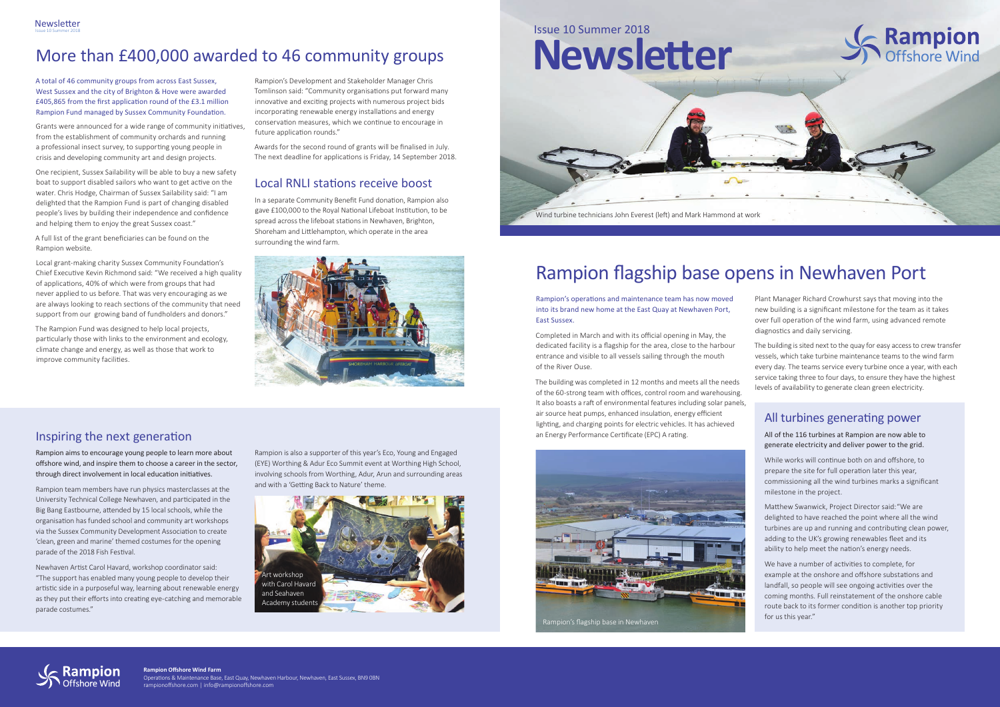## More than £400,000 awarded to 46 community groups

A total of 46 community groups from across East Sussex, West Sussex and the city of Brighton & Hove were awarded £405,865 from the first application round of the £3.1 million Rampion Fund managed by Sussex Community Foundation.

Grants were announced for a wide range of community initiatives, from the establishment of community orchards and running a professional insect survey, to supporting young people in crisis and developing community art and design projects.

One recipient, Sussex Sailability will be able to buy a new safety boat to support disabled sailors who want to get active on the water. Chris Hodge, Chairman of Sussex Sailability said: "I am delighted that the Rampion Fund is part of changing disabled people's lives by building their independence and confidence and helping them to enjoy the great Sussex coast."

A full list of the grant beneficiaries can be found on the Rampion website.



Local grant-making charity Sussex Community Foundation's Chief Executive Kevin Richmond said: "We received a high quality of applications, 40% of which were from groups that had never applied to us before. That was very encouraging as we are always looking to reach sections of the community that need support from our growing band of fundholders and donors."

The Rampion Fund was designed to help local projects, particularly those with links to the environment and ecology, climate change and energy, as well as those that work to improve community facilities.

Rampion's Development and Stakeholder Manager Chris Tomlinson said: "Community organisations put forward many innovative and exciting projects with numerous project bids incorporating renewable energy installations and energy conservation measures, which we continue to encourage in future application rounds."

Awards for the second round of grants will be finalised in July. The next deadline for applications is Friday, 14 September 2018.

**Rampion Offshore Wind Farm** Operations & Maintenance Base, East Quay, Newhaven Harbour, Newhaven, East Sussex, BN9 0BN rampionoffshore.com | info@rampionoffshore.com

#### All turbines generating power

All of the 116 turbines at Rampion are now able to generate electricity and deliver power to the grid.

While works will continue both on and offshore, to prepare the site for full operation later this year, commissioning all the wind turbines marks a significant milestone in the project.

Matthew Swanwick, Project Director said: "We are delighted to have reached the point where all the wind turbines are up and running and contributing clean power, adding to the UK's growing renewables fleet and its ability to help meet the nation's energy needs.

We have a number of activities to complete, for example at the onshore and offshore substations and landfall, so people will see ongoing activities over the coming months. Full reinstatement of the onshore cable route back to its former condition is another top priority for us this year."

# Rampion flagship base opens in Newhaven Port

Rampion's operations and maintenance team has now moved into its brand new home at the East Quay at Newhaven Port, East Sussex.

Completed in March and with its official opening in May, the dedicated facility is a flagship for the area, close to the harbour entrance and visible to all vessels sailing through the mouth of the River Ouse.

The building was completed in 12 months and meets all the needs of the 60-strong team with offices, control room and warehousing. It also boasts a raft of environmental features including solar panels, air source heat pumps, enhanced insulation, energy efficient lighting, and charging points for electric vehicles. It has achieved an Energy Performance Certificate (EPC) A rating.

Plant Manager Richard Crowhurst says that moving into the new building is a significant milestone for the team as it takes over full operation of the wind farm, using advanced remote diagnostics and daily servicing.

The building is sited next to the quay for easy access to crew transfer vessels, which take turbine maintenance teams to the wind farm every day. The teams service every turbine once a year, with each service taking three to four days, to ensure they have the highest levels of availability to generate clean green electricity.





### Inspiring the next generation

Rampion aims to encourage young people to learn more about offshore wind, and inspire them to choose a career in the sector, through direct involvement in local education initiatives.

Rampion team members have run physics masterclasses at the University Technical College Newhaven, and participated in the Big Bang Eastbourne, attended by 15 local schools, while the organisation has funded school and community art workshops via the Sussex Community Development Association to create 'clean, green and marine' themed costumes for the opening parade of the 2018 Fish Festival.

Newhaven Artist Carol Havard, workshop coordinator said: "The support has enabled many young people to develop their artistic side in a purposeful way, learning about renewable energy as they put their efforts into creating eye-catching and memorable parade costumes."

Rampion is also a supporter of this year's Eco, Young and Engaged (EYE) Worthing & Adur Eco Summit event at Worthing High School, involving schools from Worthing, Adur, Arun and surrounding areas and with a 'Getting Back to Nature' theme.



## Local RNLI stations receive boost

In a separate Community Benefit Fund donation, Rampion also gave £100,000 to the Royal National Lifeboat Institution, to be spread across the lifeboat stations in Newhaven, Brighton, Shoreham and Littlehampton, which operate in the area surrounding the wind farm.